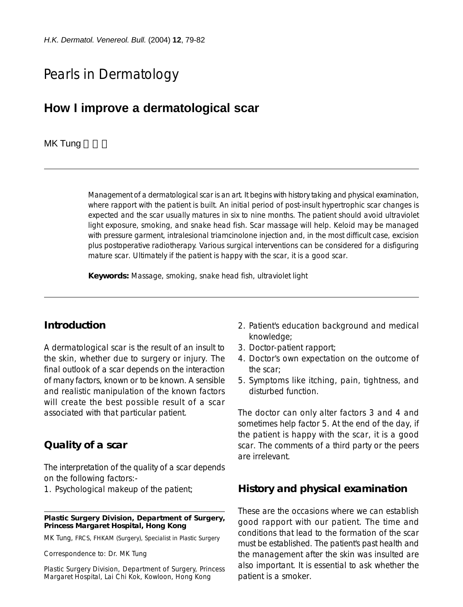# Pearls in Dermatology

## **How I improve a dermatological scar**

#### MK Tung

Management of a dermatological scar is an art. It begins with history taking and physical examination, where rapport with the patient is built. An initial period of post-insult hypertrophic scar changes is expected and the scar usually matures in six to nine months. The patient should avoid ultraviolet light exposure, smoking, and snake head fish. Scar massage will help. Keloid may be managed with pressure garment, intralesional triamcinolone injection and, in the most difficult case, excision plus postoperative radiotherapy. Various surgical interventions can be considered for a disfiguring mature scar. Ultimately if the patient is happy with the scar, it is a good scar.

**Keywords:** Massage, smoking, snake head fish, ultraviolet light

#### **Introduction**

A dermatological scar is the result of an insult to the skin, whether due to surgery or injury. The final outlook of a scar depends on the interaction of many factors, known or to be known. A sensible and realistic manipulation of the known factors will create the best possible result of a scar associated with that particular patient.

### **Quality of a scar**

The interpretation of the quality of a scar depends on the following factors:-

1. Psychological makeup of the patient;

#### **Plastic Surgery Division, Department of Surgery, Princess Margaret Hospital, Hong Kong**

MK Tung, FRCS, FHKAM (Surgery), Specialist in Plastic Surgery

Correspondence to: Dr. MK Tung

Plastic Surgery Division, Department of Surgery, Princess Margaret Hospital, Lai Chi Kok, Kowloon, Hong Kong

- 2. Patient's education background and medical knowledge;
- 3. Doctor-patient rapport;
- 4. Doctor's own expectation on the outcome of the scar;
- 5. Symptoms like itching, pain, tightness, and disturbed function.

The doctor can only alter factors 3 and 4 and sometimes help factor 5. At the end of the day, if the patient is happy with the scar, it is a good scar. The comments of a third party or the peers are irrelevant.

### **History and physical examination**

These are the occasions where we can establish good rapport with our patient. The time and conditions that lead to the formation of the scar must be established. The patient's past health and the management after the skin was insulted are also important. It is essential to ask whether the patient is a smoker.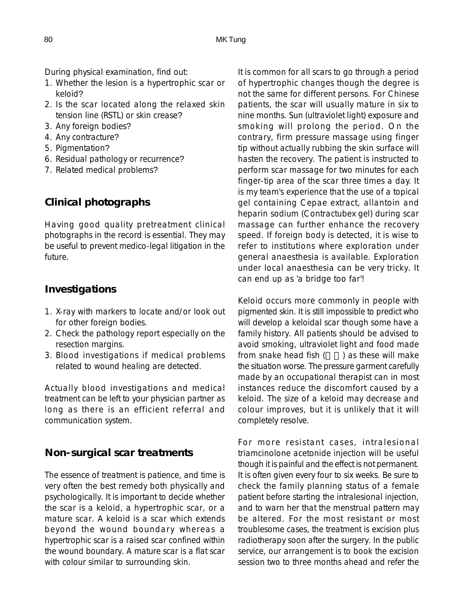During physical examination, find out:

- 1. Whether the lesion is a hypertrophic scar or keloid?
- 2. Is the scar located along the relaxed skin tension line (RSTL) or skin crease?
- 3. Any foreign bodies?
- 4. Any contracture?
- 5. Pigmentation?
- 6. Residual pathology or recurrence?
- 7. Related medical problems?

## **Clinical photographs**

Having good quality pretreatment clinical photographs in the record is essential. They may be useful to prevent medico-legal litigation in the future.

## **Investigations**

- 1. X-ray with markers to locate and/or look out for other foreign bodies.
- 2. Check the pathology report especially on the resection margins.
- 3. Blood investigations if medical problems related to wound healing are detected.

Actually blood investigations and medical treatment can be left to your physician partner as long as there is an efficient referral and communication system.

## **Non-surgical scar treatments**

The essence of treatment is patience, and time is very often the best remedy both physically and psychologically. It is important to decide whether the scar is a keloid, a hypertrophic scar, or a mature scar. A keloid is a scar which extends beyond the wound boundary whereas a hypertrophic scar is a raised scar confined within the wound boundary. A mature scar is a flat scar with colour similar to surrounding skin.

It is common for all scars to go through a period of hypertrophic changes though the degree is not the same for different persons. For Chinese patients, the scar will usually mature in six to nine months. Sun (ultraviolet light) exposure and smoking will prolong the period. On the contrary, firm pressure massage using finger tip without actually rubbing the skin surface will hasten the recovery. The patient is instructed to perform scar massage for two minutes for each finger-tip area of the scar three times a day. It is my team's experience that the use of a topical gel containing Cepae extract, allantoin and heparin sodium (Contractubex gel) during scar massage can further enhance the recovery speed. If foreign body is detected, it is wise to refer to institutions where exploration under general anaesthesia is available. Exploration under local anaesthesia can be very tricky. It can end up as 'a bridge too far'!

Keloid occurs more commonly in people with pigmented skin. It is still impossible to predict who will develop a keloidal scar though some have a family history. All patients should be advised to avoid smoking, ultraviolet light and food made from snake head fish  $($   $)$  as these will make the situation worse. The pressure garment carefully made by an occupational therapist can in most instances reduce the discomfort caused by a keloid. The size of a keloid may decrease and colour improves, but it is unlikely that it will completely resolve.

For more resistant cases, intralesional triamcinolone acetonide injection will be useful though it is painful and the effect is not permanent. It is often given every four to six weeks. Be sure to check the family planning status of a female patient before starting the intralesional injection, and to warn her that the menstrual pattern may be altered. For the most resistant or most troublesome cases, the treatment is excision plus radiotherapy soon after the surgery. In the public service, our arrangement is to book the excision session two to three months ahead and refer the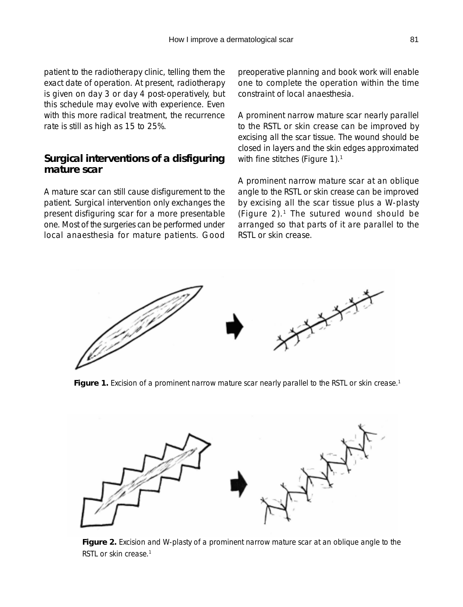patient to the radiotherapy clinic, telling them the exact date of operation. At present, radiotherapy is given on day 3 or day 4 post-operatively, but this schedule may evolve with experience. Even with this more radical treatment, the recurrence rate is still as high as 15 to 25%.

## **Surgical interventions of a disfiguring mature scar**

A mature scar can still cause disfigurement to the patient. Surgical intervention only exchanges the present disfiguring scar for a more presentable one. Most of the surgeries can be performed under local anaesthesia for mature patients. Good preoperative planning and book work will enable one to complete the operation within the time constraint of local anaesthesia.

A prominent narrow mature scar nearly parallel to the RSTL or skin crease can be improved by excising all the scar tissue. The wound should be closed in layers and the skin edges approximated with fine stitches (Figure 1).<sup>1</sup>

A prominent narrow mature scar at an oblique angle to the RSTL or skin crease can be improved by excising all the scar tissue plus a W-plasty (Figure 2). $1$  The sutured wound should be arranged so that parts of it are parallel to the RSTL or skin crease.



Figure 1. Excision of a prominent narrow mature scar nearly parallel to the RSTL or skin crease.<sup>1</sup>



**Figure 2.** Excision and W-plasty of a prominent narrow mature scar at an oblique angle to the RSTL or skin crease.<sup>1</sup>